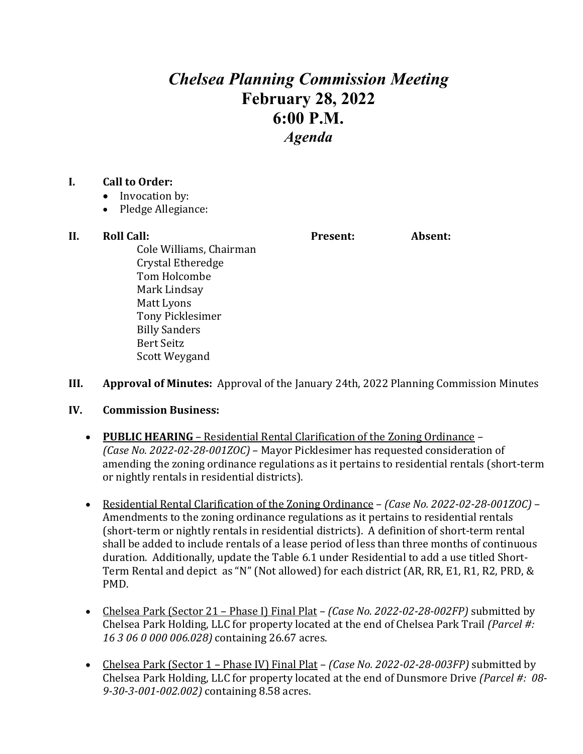## *Chelsea Planning Commission Meeting* **February 28, 2022 6:00 P.M.** *Agenda*

## **I. Call to Order:**

- Invocation by:
- Pledge Allegiance:

## **II. Roll Call: Present: Absent:**

Cole Williams, Chairman Crystal Etheredge Tom Holcombe Mark Lindsay Matt Lyons Tony Picklesimer Billy Sanders Bert Seitz Scott Weygand

- **III. Approval of Minutes:** Approval of the January 24th, 2022 Planning Commission Minutes
- **IV. Commission Business:**
	- **PUBLIC HEARING** Residential Rental Clarification of the Zoning Ordinance *(Case No. 2022-02-28-001ZOC)* – Mayor Picklesimer has requested consideration of amending the zoning ordinance regulations as it pertains to residential rentals (short-term or nightly rentals in residential districts).
	- Residential Rental Clarification of the Zoning Ordinance *(Case No. 2022-02-28-001ZOC)* Amendments to the zoning ordinance regulations as it pertains to residential rentals (short-term or nightly rentals in residential districts). A definition of short-term rental shall be added to include rentals of a lease period of less than three months of continuous duration. Additionally, update the Table 6.1 under Residential to add a use titled Short-Term Rental and depict as "N" (Not allowed) for each district (AR, RR, E1, R1, R2, PRD, & PMD.
	- Chelsea Park (Sector 21 Phase I) Final Plat *(Case No. 2022-02-28-002FP)* submitted by Chelsea Park Holding, LLC for property located at the end of Chelsea Park Trail *(Parcel #: 16 3 06 0 000 006.028)* containing 26.67 acres.
	- Chelsea Park (Sector 1 Phase IV) Final Plat *(Case No. 2022-02-28-003FP)* submitted by Chelsea Park Holding, LLC for property located at the end of Dunsmore Drive *(Parcel #: 08- 9-30-3-001-002.002)* containing 8.58 acres.